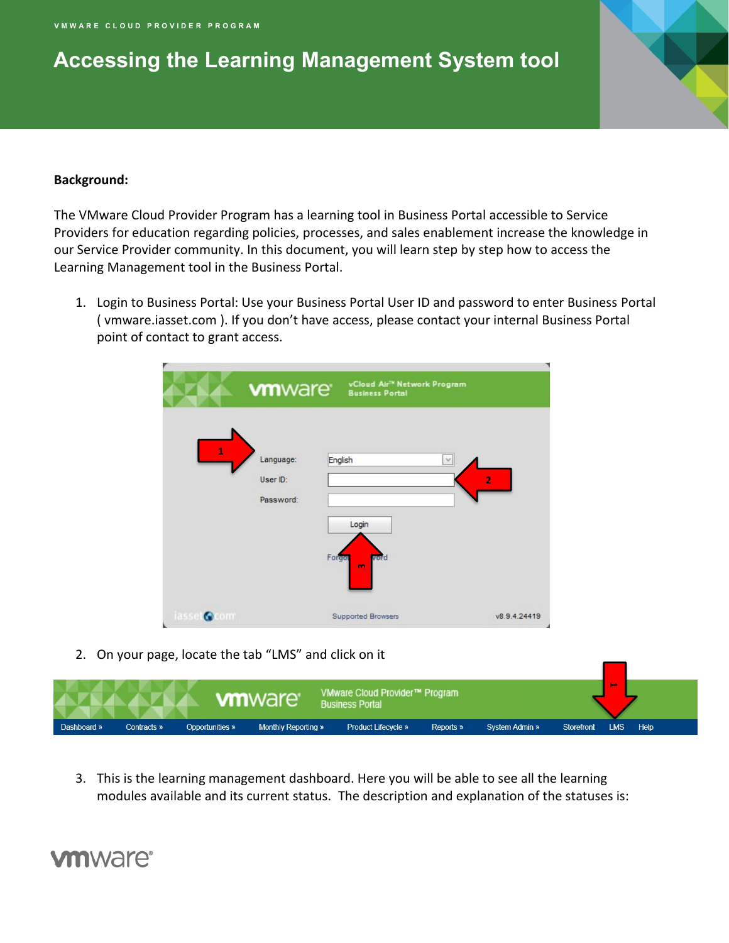## **Accessing the Learning Management System tool**

#### **Background:**

The VMware Cloud Provider Program has a learning tool in Business Portal accessible to Service Providers for education regarding policies, processes, and sales enablement increase the knowledge in our Service Provider community. In this document, you will learn step by step how to access the Learning Management tool in the Business Portal.

1. Login to Business Portal: Use your Business Portal User ID and password to enter Business Portal ( vmware.iasset.com ). If you don't have access, please contact your internal Business Portal point of contact to grant access.

|                                    | <b>vm</b> ware                     | vCloud Air <sup>tw</sup> Network Program<br><b>Business Portal</b> |                          |
|------------------------------------|------------------------------------|--------------------------------------------------------------------|--------------------------|
| $\mathbf{1}$                       | Language:<br>User ID:<br>Password: | English<br>Login<br>vord<br>Forgot<br>m                            | $\vee$<br>$\overline{2}$ |
| iasset<br><b>CONT</b><br>$\bullet$ |                                    | Supported Browsers                                                 | v8.9.4.24419             |

2. On your page, locate the tab "LMS" and click on it



3. This is the learning management dashboard. Here you will be able to see all the learning modules available and its current status. The description and explanation of the statuses is:

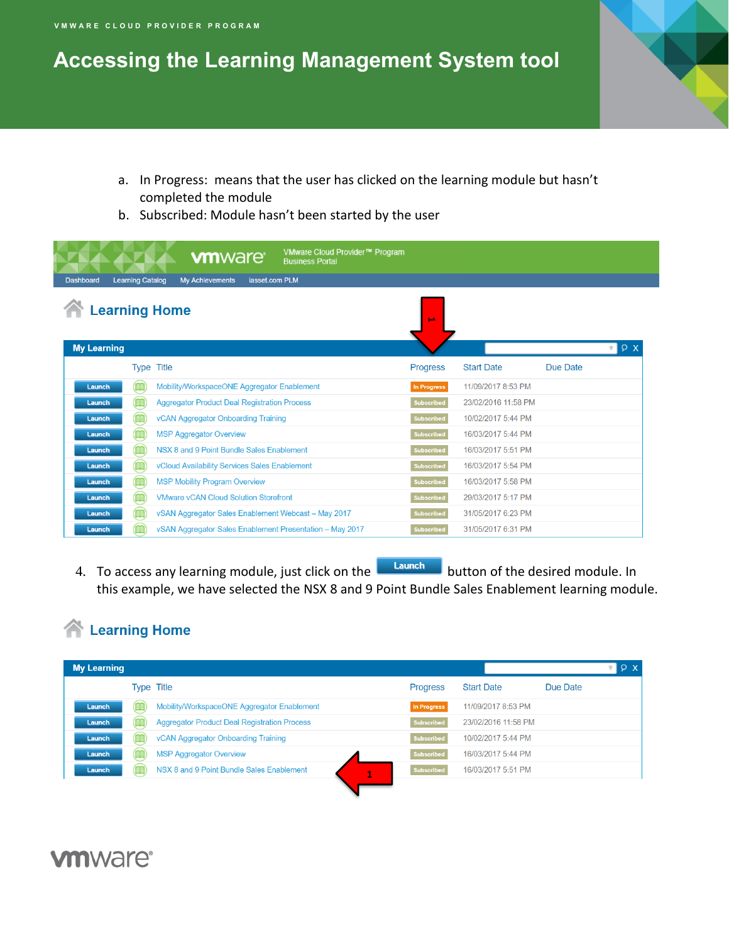## **Accessing the Learning Management System tool**

- a. In Progress: means that the user has clicked on the learning module but hasn't completed the module
- b. Subscribed: Module hasn't been started by the user

|                                             | <b>vm</b> ware <sup>®</sup>                              | VMware Cloud Provider™ Program<br><b>Business Portal</b> |                   |                     |                       |
|---------------------------------------------|----------------------------------------------------------|----------------------------------------------------------|-------------------|---------------------|-----------------------|
| <b>Learning Catalog</b><br><b>Dashboard</b> | <b>My Achievements</b><br>iasset.com PLM                 |                                                          |                   |                     |                       |
| <b>Learning Home</b>                        |                                                          |                                                          |                   |                     |                       |
|                                             |                                                          |                                                          | <b>DA</b>         |                     |                       |
| <b>My Learning</b>                          |                                                          |                                                          |                   |                     | P X<br>$\mathbf{v}$ 1 |
|                                             | <b>Type Title</b>                                        |                                                          | <b>Progress</b>   | <b>Start Date</b>   | Due Date              |
| <b>AR</b><br>Launch                         | Mobility/WorkspaceONE Aggregator Enablement              |                                                          | In Progress       | 11/09/2017 8:53 PM  |                       |
| 館<br>Launch                                 | <b>Aggregator Product Deal Registration Process</b>      |                                                          | <b>Subscribed</b> | 23/02/2016 11:58 PM |                       |
| 鱠<br><b>Launch</b>                          | vCAN Aggregator Onboarding Training                      |                                                          | <b>Subscribed</b> | 10/02/2017 5:44 PM  |                       |
| <b>AR</b><br>Launch                         | <b>MSP Aggregator Overview</b>                           |                                                          | <b>Subscribed</b> | 16/03/2017 5:44 PM  |                       |
| 館<br>Launch                                 | NSX 8 and 9 Point Bundle Sales Enablement                |                                                          | <b>Subscribed</b> | 16/03/2017 5:51 PM  |                       |
| <b>AR</b><br>Launch                         | vCloud Availability Services Sales Enablement            |                                                          | <b>Subscribed</b> | 16/03/2017 5:54 PM  |                       |
| 館<br><b>Launch</b>                          | <b>MSP Mobility Program Overview</b>                     |                                                          | Subscribed        | 16/03/2017 5:58 PM  |                       |
| 篇<br>Launch                                 | <b>VMware vCAN Cloud Solution Storefront</b>             |                                                          | <b>Subscribed</b> | 29/03/2017 5:17 PM  |                       |
| <b>AB</b><br>Launch                         | vSAN Aggregator Sales Enablement Webcast - May 2017      |                                                          | Subscribed        | 31/05/2017 6:23 PM  |                       |
| Launch                                      | vSAN Aggregator Sales Enablement Presentation - May 2017 |                                                          | <b>Subscribed</b> | 31/05/2017 6:31 PM  |                       |

4. To access any learning module, just click on the **Launch** button of the desired module. In this example, we have selected the NSX 8 and 9 Point Bundle Sales Enablement learning module.

#### **The Learning Home**

| <b>My Learning</b> |                   |                                                     |                 |                     | P X      |
|--------------------|-------------------|-----------------------------------------------------|-----------------|---------------------|----------|
|                    | <b>Type Title</b> |                                                     | <b>Progress</b> | <b>Start Date</b>   | Due Date |
| Launch             | (AG               | Mobility/WorkspaceONE Aggregator Enablement         | In Progress     | 11/09/2017 8:53 PM  |          |
| Launch             |                   | <b>Aggregator Product Deal Registration Process</b> | Subscribed      | 23/02/2016 11:58 PM |          |
| Launch             | 188               | vCAN Aggregator Onboarding Training                 | Subscribed      | 10/02/2017 5:44 PM  |          |
| Launch             |                   | <b>MSP Aggregator Overview</b>                      | Subscribed      | 16/03/2017 5:44 PM  |          |
| Launch             |                   | NSX 8 and 9 Point Bundle Sales Enablement           | Subscribed      | 16/03/2017 5:51 PM  |          |

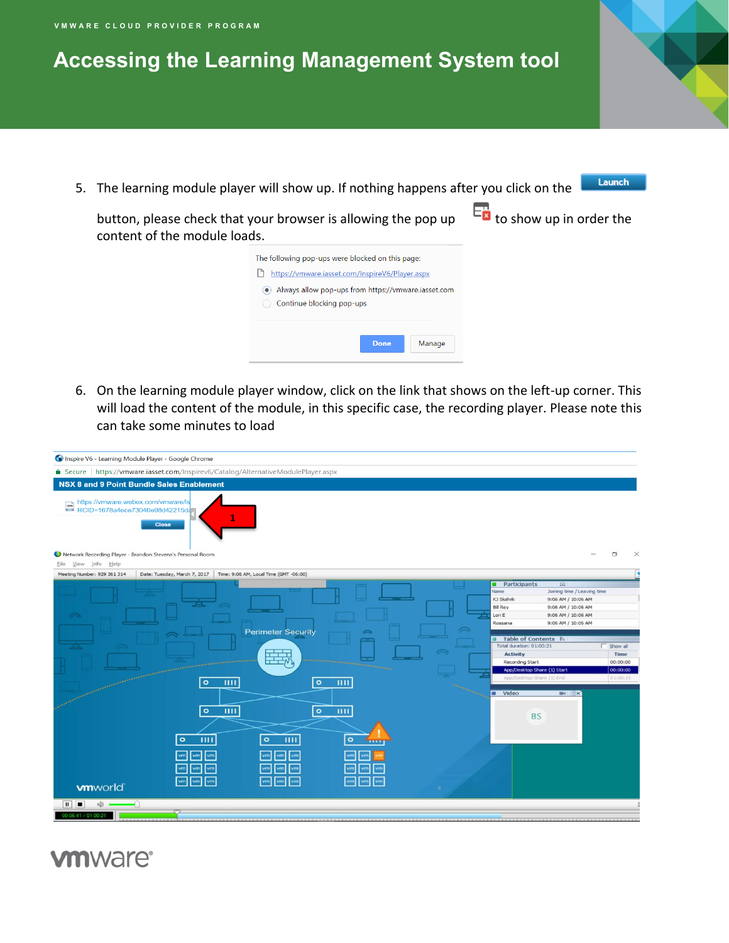## **Accessing the Learning Management System tool**

5. The learning module player will show up. If nothing happens after you click on the

Launch

button, please check that your browser is allowing the pop up  $\Box$  to show up in order the content of the module loads.

- The following pop-ups were blocked on this page: https://vmware.iasset.com/InspireV6/Player.aspx Always allow pop-ups from https://vmware.iasset.com Continue blocking pop-ups Done Manage
- 6. On the learning module player window, click on the link that shows on the left-up corner. This will load the content of the module, in this specific case, the recording player. Please note this can take some minutes to load

| △ Secure https://vmware.iasset.com/Inspirev6/Catalog/AlternativeModulePlayer.aspx<br><b>NSX 8 and 9 Point Bundle Sales Enablement</b>                                                                                                                                                                                                                                                                                                                                                                                                        |                                                                                                                                                                                                                                                                                                                   |
|----------------------------------------------------------------------------------------------------------------------------------------------------------------------------------------------------------------------------------------------------------------------------------------------------------------------------------------------------------------------------------------------------------------------------------------------------------------------------------------------------------------------------------------------|-------------------------------------------------------------------------------------------------------------------------------------------------------------------------------------------------------------------------------------------------------------------------------------------------------------------|
|                                                                                                                                                                                                                                                                                                                                                                                                                                                                                                                                              |                                                                                                                                                                                                                                                                                                                   |
|                                                                                                                                                                                                                                                                                                                                                                                                                                                                                                                                              |                                                                                                                                                                                                                                                                                                                   |
| https://vmware.webex.com/vmware/ls<br>RCID=1678a4ece73040e98d42215da<br><b>Close</b><br>Network Recording Player - Brandon Stevens's Personal Room                                                                                                                                                                                                                                                                                                                                                                                           | O                                                                                                                                                                                                                                                                                                                 |
| Eile View Info Help                                                                                                                                                                                                                                                                                                                                                                                                                                                                                                                          |                                                                                                                                                                                                                                                                                                                   |
| Meeting Number: 929 361 314<br>Date: Tuesday, March 7, 2017<br>Time: 9:06 AM, Local Time (GMT -06:00)<br><b>Participants</b><br>Name<br>KJ Skalvik<br><b>Bill Rey</b><br>Lori E<br>Rossana<br><b>Perimeter Security</b><br>Total duration: 01:00:21<br>They<br><b>Activity</b><br>Recording Start<br><b>ARRAIGNO</b><br><b>The st</b><br>$\bullet$<br>THE<br>$\circ$<br>шu<br><b>U</b> Video<br>$\circ$<br>$\circ$<br>ш<br>ш<br>$\circ$<br>$\circ$<br>$\circ$<br>ш<br>THE<br>vm<br>vm<br>vm<br>vm<br>vm<br>vm<br>vm<br>vm<br><b>vm</b> world | <b>THE</b><br>Joining time / Leaving time<br>9:06 AM / 10:06 AM<br>9:06 AM / 10:06 AM<br>9:06 AM / 10:06 AM<br>9:06 AM / 10:06 AM<br>Table of Contents B.<br>$\Gamma$ Show all<br>Time<br>00:00:00<br>App/Desktop Share (1) Start<br>00:00:00<br>App/Desktop Share (1) End<br>01:00:15<br>$M \times$<br><b>BS</b> |
| $\mathbf{H}$<br>E<br>$\bigcirc$<br>00:06:41 / 01:00:21                                                                                                                                                                                                                                                                                                                                                                                                                                                                                       |                                                                                                                                                                                                                                                                                                                   |

#### **vm**ware<sup>®</sup>